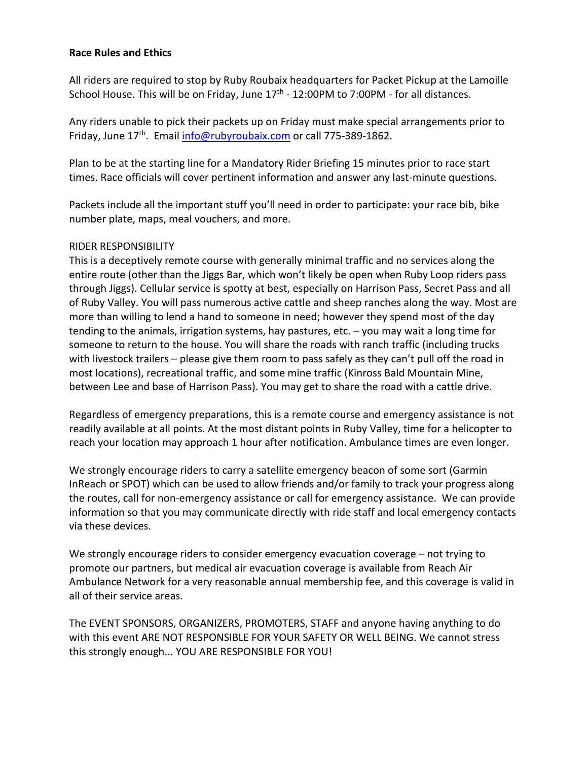#### **Race Rules and Ethics**

All riders are required to stop by Ruby Roubaix headquarters for Packet Pickup at the Lamoille School House. This will be on Friday, June  $17<sup>th</sup>$  - 12:00PM to 7:00PM - for all distances.

Any riders unable to pick their packets up on Friday must make special arrangements prior to Friday, June 17<sup>th</sup>. Email info@rubyroubaix.com or call 775-389-1862.

Plan to be at the starting line for a Mandatory Rider Briefing 15 minutes prior to race start times. Race officials will cover pertinent information and answer any last-minute questions.

Packets include all the important stuff you'll need in order to participate: your race bib, bike number plate, maps, meal vouchers, and more.

#### RIDER RESPONSIBILITY

This is a deceptively remote course with generally minimal traffic and no services along the entire route (other than the Jiggs Bar, which won't likely be open when Ruby Loop riders pass through Jiggs). Cellular service is spotty at best, especially on Harrison Pass, Secret Pass and all of Ruby Valley. You will pass numerous active cattle and sheep ranches along the way. Most are more than willing to lend a hand to someone in need; however they spend most of the day tending to the animals, irrigation systems, hay pastures, etc. – you may wait a long time for someone to return to the house. You will share the roads with ranch traffic (including trucks with livestock trailers – please give them room to pass safely as they can't pull off the road in most locations), recreational traffic, and some mine traffic (Kinross Bald Mountain Mine, between Lee and base of Harrison Pass). You may get to share the road with a cattle drive.

Regardless of emergency preparations, this is a remote course and emergency assistance is not readily available at all points. At the most distant points in Ruby Valley, time for a helicopter to reach your location may approach 1 hour after notification. Ambulance times are even longer.

We strongly encourage riders to carry a satellite emergency beacon of some sort (Garmin InReach or SPOT) which can be used to allow friends and/or family to track your progress along the routes, call for non-emergency assistance or call for emergency assistance. We can provide information so that you may communicate directly with ride staff and local emergency contacts via these devices.

We strongly encourage riders to consider emergency evacuation coverage – not trying to promote our partners, but medical air evacuation coverage is available from Reach Air Ambulance Network for a very reasonable annual membership fee, and this coverage is valid in all of their service areas.

The EVENT SPONSORS, ORGANIZERS, PROMOTERS, STAFF and anyone having anything to do with this event ARE NOT RESPONSIBLE FOR YOUR SAFETY OR WELL BEING. We cannot stress this strongly enough... YOU ARE RESPONSIBLE FOR YOU!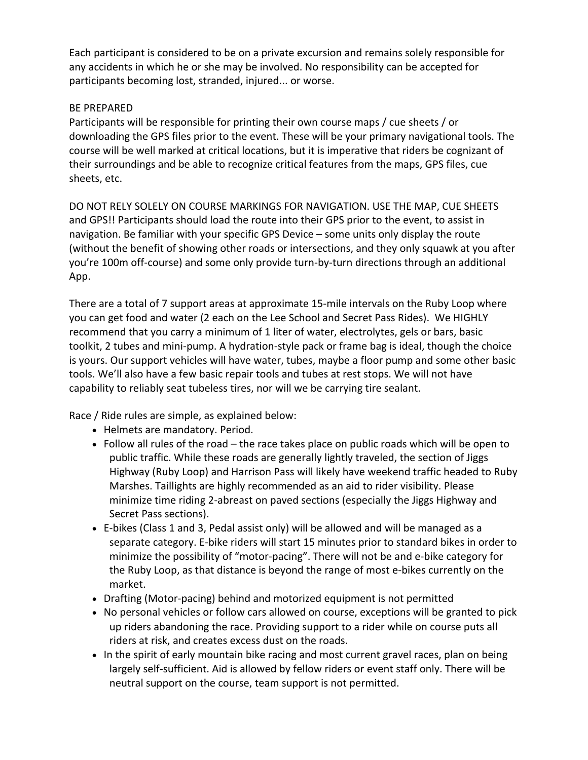Each participant is considered to be on a private excursion and remains solely responsible for any accidents in which he or she may be involved. No responsibility can be accepted for participants becoming lost, stranded, injured... or worse.

## BE PREPARED

Participants will be responsible for printing their own course maps / cue sheets / or downloading the GPS files prior to the event. These will be your primary navigational tools. The course will be well marked at critical locations, but it is imperative that riders be cognizant of their surroundings and be able to recognize critical features from the maps, GPS files, cue sheets, etc.

DO NOT RELY SOLELY ON COURSE MARKINGS FOR NAVIGATION. USE THE MAP, CUE SHEETS and GPS!! Participants should load the route into their GPS prior to the event, to assist in navigation. Be familiar with your specific GPS Device – some units only display the route (without the benefit of showing other roads or intersections, and they only squawk at you after you're 100m off-course) and some only provide turn-by-turn directions through an additional App.

There are a total of 7 support areas at approximate 15-mile intervals on the Ruby Loop where you can get food and water (2 each on the Lee School and Secret Pass Rides). We HIGHLY recommend that you carry a minimum of 1 liter of water, electrolytes, gels or bars, basic toolkit, 2 tubes and mini-pump. A hydration-style pack or frame bag is ideal, though the choice is yours. Our support vehicles will have water, tubes, maybe a floor pump and some other basic tools. We'll also have a few basic repair tools and tubes at rest stops. We will not have capability to reliably seat tubeless tires, nor will we be carrying tire sealant.

Race / Ride rules are simple, as explained below:

- Helmets are mandatory. Period.
- Follow all rules of the road the race takes place on public roads which will be open to public traffic. While these roads are generally lightly traveled, the section of Jiggs Highway (Ruby Loop) and Harrison Pass will likely have weekend traffic headed to Ruby Marshes. Taillights are highly recommended as an aid to rider visibility. Please minimize time riding 2-abreast on paved sections (especially the Jiggs Highway and Secret Pass sections).
- E-bikes (Class 1 and 3, Pedal assist only) will be allowed and will be managed as a separate category. E-bike riders will start 15 minutes prior to standard bikes in order to minimize the possibility of "motor-pacing". There will not be and e-bike category for the Ruby Loop, as that distance is beyond the range of most e-bikes currently on the market.
- Drafting (Motor-pacing) behind and motorized equipment is not permitted
- No personal vehicles or follow cars allowed on course, exceptions will be granted to pick up riders abandoning the race. Providing support to a rider while on course puts all riders at risk, and creates excess dust on the roads.
- In the spirit of early mountain bike racing and most current gravel races, plan on being largely self-sufficient. Aid is allowed by fellow riders or event staff only. There will be neutral support on the course, team support is not permitted.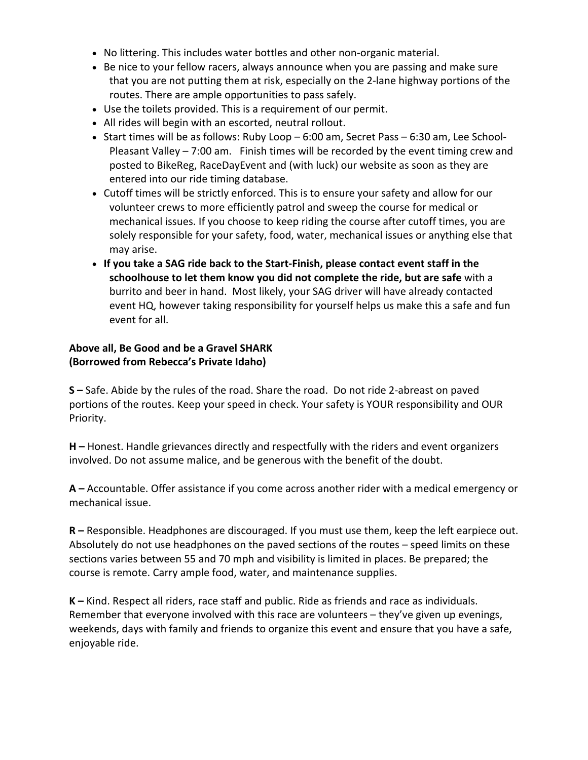- No littering. This includes water bottles and other non-organic material.
- Be nice to your fellow racers, always announce when you are passing and make sure that you are not putting them at risk, especially on the 2-lane highway portions of the routes. There are ample opportunities to pass safely.
- Use the toilets provided. This is a requirement of our permit.
- All rides will begin with an escorted, neutral rollout.
- Start times will be as follows: Ruby Loop 6:00 am, Secret Pass 6:30 am, Lee School-Pleasant Valley – 7:00 am. Finish times will be recorded by the event timing crew and posted to BikeReg, RaceDayEvent and (with luck) our website as soon as they are entered into our ride timing database.
- Cutoff times will be strictly enforced. This is to ensure your safety and allow for our volunteer crews to more efficiently patrol and sweep the course for medical or mechanical issues. If you choose to keep riding the course after cutoff times, you are solely responsible for your safety, food, water, mechanical issues or anything else that may arise.
- **If you take a SAG ride back to the Start-Finish, please contact event staff in the schoolhouse to let them know you did not complete the ride, but are safe** with a burrito and beer in hand. Most likely, your SAG driver will have already contacted event HQ, however taking responsibility for yourself helps us make this a safe and fun event for all.

## **Above all, Be Good and be a Gravel SHARK (Borrowed from Rebecca's Private Idaho)**

**S –** Safe. Abide by the rules of the road. Share the road. Do not ride 2-abreast on paved portions of the routes. Keep your speed in check. Your safety is YOUR responsibility and OUR Priority.

**H –** Honest. Handle grievances directly and respectfully with the riders and event organizers involved. Do not assume malice, and be generous with the benefit of the doubt.

**A –** Accountable. Offer assistance if you come across another rider with a medical emergency or mechanical issue.

**R –** Responsible. Headphones are discouraged. If you must use them, keep the left earpiece out. Absolutely do not use headphones on the paved sections of the routes – speed limits on these sections varies between 55 and 70 mph and visibility is limited in places. Be prepared; the course is remote. Carry ample food, water, and maintenance supplies.

**K –** Kind. Respect all riders, race staff and public. Ride as friends and race as individuals. Remember that everyone involved with this race are volunteers – they've given up evenings, weekends, days with family and friends to organize this event and ensure that you have a safe, enjoyable ride.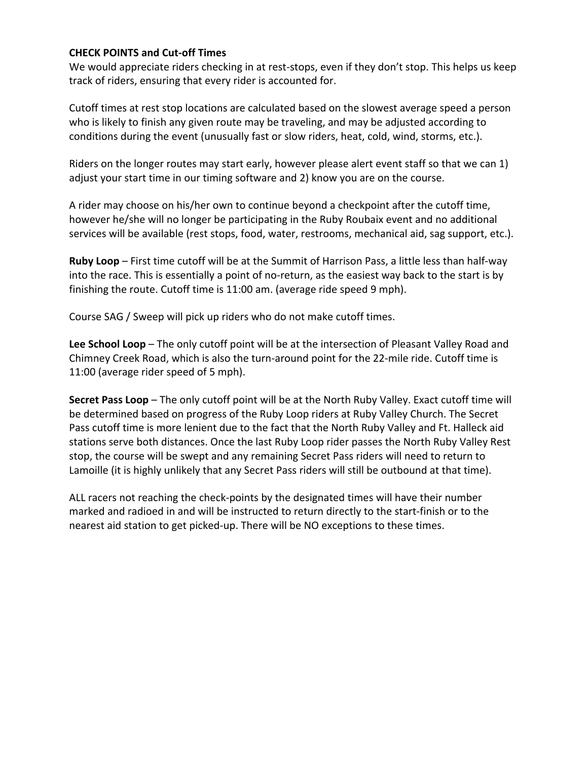## **CHECK POINTS and Cut-off Times**

We would appreciate riders checking in at rest-stops, even if they don't stop. This helps us keep track of riders, ensuring that every rider is accounted for.

Cutoff times at rest stop locations are calculated based on the slowest average speed a person who is likely to finish any given route may be traveling, and may be adjusted according to conditions during the event (unusually fast or slow riders, heat, cold, wind, storms, etc.).

Riders on the longer routes may start early, however please alert event staff so that we can 1) adjust your start time in our timing software and 2) know you are on the course.

A rider may choose on his/her own to continue beyond a checkpoint after the cutoff time, however he/she will no longer be participating in the Ruby Roubaix event and no additional services will be available (rest stops, food, water, restrooms, mechanical aid, sag support, etc.).

**Ruby Loop** – First time cutoff will be at the Summit of Harrison Pass, a little less than half-way into the race. This is essentially a point of no-return, as the easiest way back to the start is by finishing the route. Cutoff time is 11:00 am. (average ride speed 9 mph).

Course SAG / Sweep will pick up riders who do not make cutoff times.

**Lee School Loop** – The only cutoff point will be at the intersection of Pleasant Valley Road and Chimney Creek Road, which is also the turn-around point for the 22-mile ride. Cutoff time is 11:00 (average rider speed of 5 mph).

**Secret Pass Loop** – The only cutoff point will be at the North Ruby Valley. Exact cutoff time will be determined based on progress of the Ruby Loop riders at Ruby Valley Church. The Secret Pass cutoff time is more lenient due to the fact that the North Ruby Valley and Ft. Halleck aid stations serve both distances. Once the last Ruby Loop rider passes the North Ruby Valley Rest stop, the course will be swept and any remaining Secret Pass riders will need to return to Lamoille (it is highly unlikely that any Secret Pass riders will still be outbound at that time).

ALL racers not reaching the check-points by the designated times will have their number marked and radioed in and will be instructed to return directly to the start-finish or to the nearest aid station to get picked-up. There will be NO exceptions to these times.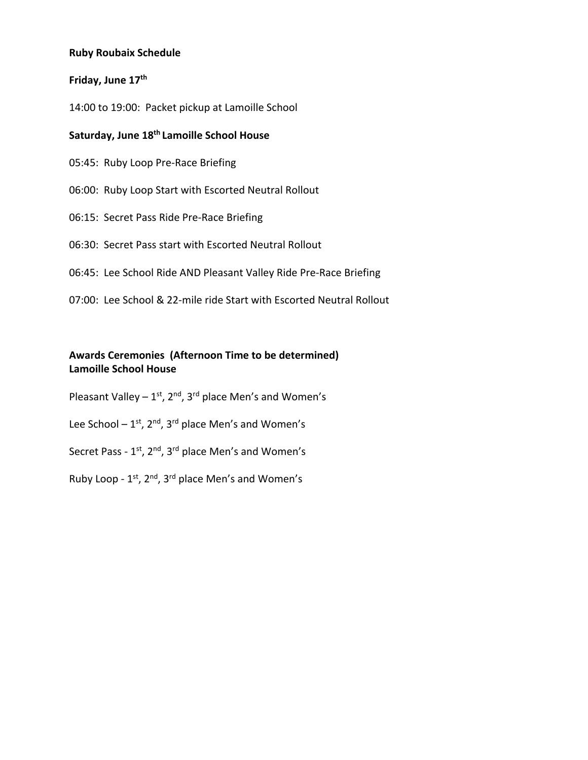### **Ruby Roubaix Schedule**

## **Friday, June 17th**

14:00 to 19:00: Packet pickup at Lamoille School

# **Saturday, June 18th Lamoille School House**

05:45: Ruby Loop Pre-Race Briefing

06:00: Ruby Loop Start with Escorted Neutral Rollout

06:15: Secret Pass Ride Pre-Race Briefing

06:30: Secret Pass start with Escorted Neutral Rollout

06:45: Lee School Ride AND Pleasant Valley Ride Pre-Race Briefing

07:00: Lee School & 22-mile ride Start with Escorted Neutral Rollout

## **Awards Ceremonies (Afternoon Time to be determined) Lamoille School House**

Pleasant Valley –  $1^{st}$ ,  $2^{nd}$ ,  $3^{rd}$  place Men's and Women's

Lee School –  $1^{st}$ ,  $2^{nd}$ ,  $3^{rd}$  place Men's and Women's

Secret Pass - 1<sup>st</sup>, 2<sup>nd</sup>, 3<sup>rd</sup> place Men's and Women's

Ruby Loop - 1st, 2nd, 3rd place Men's and Women's